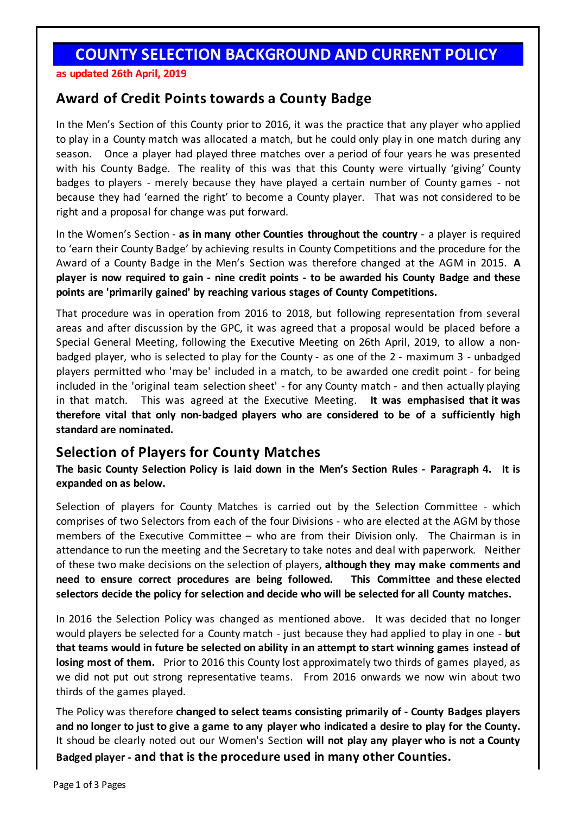## **COUNTY SELECTION BACKGROUND AND CURRENT POLICY**

**as updated 26th April, 2019**

## **Award of Credit Points towards a County Badge**

In the Men's Section of this County prior to 2016, it was the practice that any player who applied to play in a County match was allocated a match, but he could only play in one match during any season. Once a player had played three matches over a period of four years he was presented with his County Badge. The reality of this was that this County were virtually 'giving' County badges to players - merely because they have played a certain number of County games - not because they had 'earned the right' to become a County player. That was not considered to be right and a proposal for change was put forward.

In the Women's Section - **as in many other Counties throughout the country** - a player is required to 'earn their County Badge' by achieving results in County Competitions and the procedure for the Award of a County Badge in the Men's Section was therefore changed at the AGM in 2015. **A**  player is now required to gain - nine credit points - to be awarded his County Badge and these **points are 'primarily gained' by reaching various stages of County Competitions.**

That procedure was in operation from 2016 to 2018, but following representation from several areas and after discussion by the GPC, it was agreed that a proposal would be placed before a Special General Meeting, following the Executive Meeting on 26th April, 2019, to allow a nonbadged player, who is selected to play for the County - as one of the 2 - maximum 3 - unbadged players permitted who 'may be' included in a match, to be awarded one credit point - for being included in the 'original team selection sheet' - for any County match - and then actually playing in that match. This was agreed at the Executive Meeting. **It was emphasised that it was therefore vital that only non-badged players who are considered to be of a sufficiently high standard are nominated.** 

## **Selection of Players for County Matches**

**The basic County Selection Policy is laid down in the Men's Section Rules - Paragraph 4. It is expanded on as below.**

Selection of players for County Matches is carried out by the Selection Committee - which comprises of two Selectors from each of the four Divisions - who are elected at the AGM by those members of the Executive Committee – who are from their Division only. The Chairman is in attendance to run the meeting and the Secretary to take notes and deal with paperwork. Neither of these two make decisions on the selection of players, **although they may make comments and need to ensure correct procedures are being followed. This Committee and these elected selectors decide the policy for selection and decide who will be selected for all County matches.**

In 2016 the Selection Policy was changed as mentioned above. It was decided that no longer would players be selected for a County match - just because they had applied to play in one - **but that teams would in future be selected on ability in an attempt to start winning games instead of losing most of them.** Prior to 2016 this County lost approximately two thirds of games played, as we did not put out strong representative teams. From 2016 onwards we now win about two thirds of the games played.

The Policy was therefore **changed to select teams consisting primarily of - County Badges players** and no longer to just to give a game to any player who indicated a desire to play for the County. It shoud be clearly noted out our Women's Section **will not play any player who is not a County Badged player - and that is the procedure used in many other Counties.**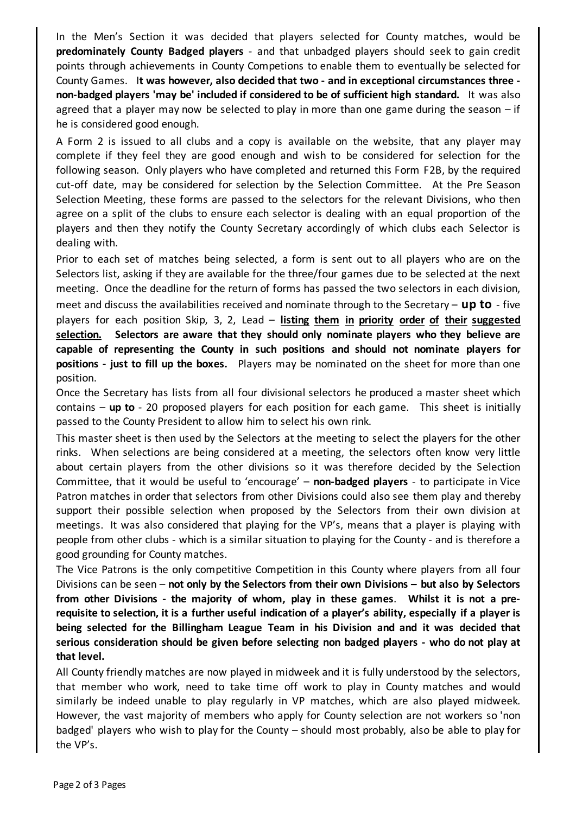In the Men's Section it was decided that players selected for County matches, would be **predominately County Badged players** - and that unbadged players should seek to gain credit points through achievements in County Competions to enable them to eventually be selected for County Games. I**t was however, also decided that two - and in exceptional circumstances three non-badged players 'may be' included if considered to be of sufficient high standard.** It was also agreed that a player may now be selected to play in more than one game during the season  $-i$  f he is considered good enough.

A Form 2 is issued to all clubs and a copy is available on the website, that any player may complete if they feel they are good enough and wish to be considered for selection for the following season. Only players who have completed and returned this Form F2B, by the required cut-off date, may be considered for selection by the Selection Committee. At the Pre Season Selection Meeting, these forms are passed to the selectors for the relevant Divisions, who then agree on a split of the clubs to ensure each selector is dealing with an equal proportion of the players and then they notify the County Secretary accordingly of which clubs each Selector is dealing with.

Prior to each set of matches being selected, a form is sent out to all players who are on the Selectors list, asking if they are available for the three/four games due to be selected at the next meeting. Once the deadline for the return of forms has passed the two selectors in each division, meet and discuss the availabilities received and nominate through to the Secretary – **up to** - five players for each position Skip, 3, 2, Lead – **listing them in priority order of their suggested selection. Selectors are aware that they should only nominate players who they believe are capable of representing the County in such positions and should not nominate players for positions - just to fill up the boxes.** Players may be nominated on the sheet for more than one position.

Once the Secretary has lists from all four divisional selectors he produced a master sheet which contains – **up to** - 20 proposed players for each position for each game. This sheet is initially passed to the County President to allow him to select his own rink.

This master sheet is then used by the Selectors at the meeting to select the players for the other rinks. When selections are being considered at a meeting, the selectors often know very little about certain players from the other divisions so it was therefore decided by the Selection Committee, that it would be useful to 'encourage' – **non-badged players** - to participate in Vice Patron matches in order that selectors from other Divisions could also see them play and thereby support their possible selection when proposed by the Selectors from their own division at meetings. It was also considered that playing for the VP's, means that a player is playing with people from other clubs - which is a similar situation to playing for the County - and is therefore a good grounding for County matches.

The Vice Patrons is the only competitive Competition in this County where players from all four Divisions can be seen – **not only by the Selectors from their own Divisions – but also by Selectors from other Divisions - the majority of whom, play in these games**. **Whilst it is not a pre**requisite to selection, it is a further useful indication of a player's ability, especially if a player is **being selected for the Billingham League Team in his Division and and it was decided that serious consideration should be given before selecting non badged players - who do not play at that level.**

All County friendly matches are now played in midweek and it is fully understood by the selectors, that member who work, need to take time off work to play in County matches and would similarly be indeed unable to play regularly in VP matches, which are also played midweek. However, the vast majority of members who apply for County selection are not workers so 'non badged' players who wish to play for the County – should most probably, also be able to play for the VP's.